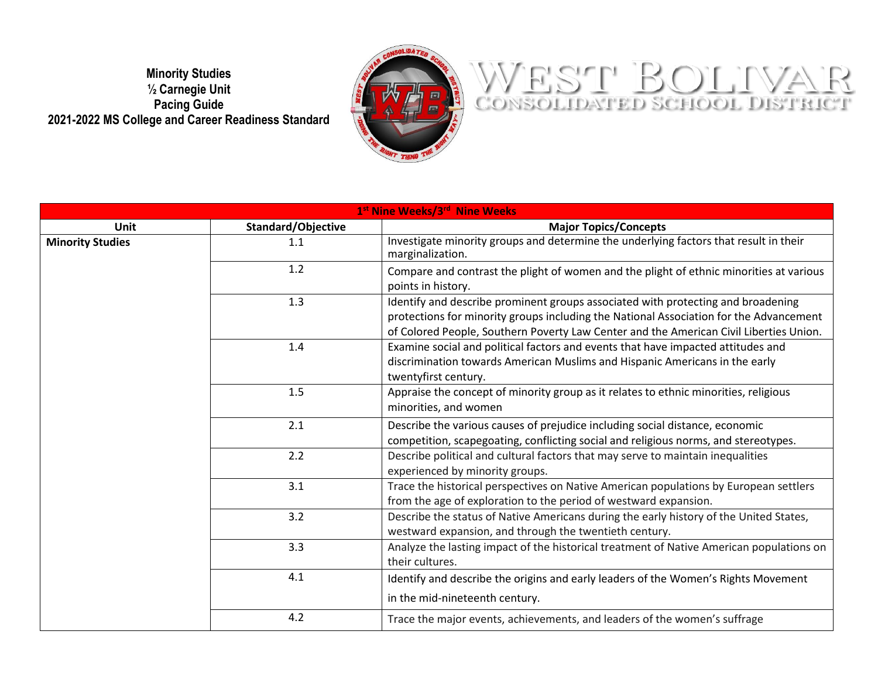**Minority Studies ½ Carnegie Unit Pacing Guide 2021-2022 MS College and Career Readiness Standard**



## WEST BOLIVAR

| 1 <sup>st</sup> Nine Weeks/3 <sup>rd</sup> Nine Weeks |                    |                                                                                                                                                                                                                                                                      |
|-------------------------------------------------------|--------------------|----------------------------------------------------------------------------------------------------------------------------------------------------------------------------------------------------------------------------------------------------------------------|
| <b>Unit</b>                                           | Standard/Objective | <b>Major Topics/Concepts</b>                                                                                                                                                                                                                                         |
| <b>Minority Studies</b>                               | 1.1                | Investigate minority groups and determine the underlying factors that result in their<br>marginalization.                                                                                                                                                            |
|                                                       | 1.2                | Compare and contrast the plight of women and the plight of ethnic minorities at various<br>points in history.                                                                                                                                                        |
|                                                       | 1.3                | Identify and describe prominent groups associated with protecting and broadening<br>protections for minority groups including the National Association for the Advancement<br>of Colored People, Southern Poverty Law Center and the American Civil Liberties Union. |
|                                                       | 1.4                | Examine social and political factors and events that have impacted attitudes and<br>discrimination towards American Muslims and Hispanic Americans in the early<br>twentyfirst century.                                                                              |
|                                                       | $1.5\,$            | Appraise the concept of minority group as it relates to ethnic minorities, religious<br>minorities, and women                                                                                                                                                        |
|                                                       | 2.1                | Describe the various causes of prejudice including social distance, economic<br>competition, scapegoating, conflicting social and religious norms, and stereotypes.                                                                                                  |
|                                                       | 2.2                | Describe political and cultural factors that may serve to maintain inequalities<br>experienced by minority groups.                                                                                                                                                   |
|                                                       | 3.1                | Trace the historical perspectives on Native American populations by European settlers<br>from the age of exploration to the period of westward expansion.                                                                                                            |
|                                                       | 3.2                | Describe the status of Native Americans during the early history of the United States,<br>westward expansion, and through the twentieth century.                                                                                                                     |
|                                                       | 3.3                | Analyze the lasting impact of the historical treatment of Native American populations on<br>their cultures.                                                                                                                                                          |
|                                                       | 4.1                | Identify and describe the origins and early leaders of the Women's Rights Movement<br>in the mid-nineteenth century.                                                                                                                                                 |
|                                                       | 4.2                | Trace the major events, achievements, and leaders of the women's suffrage                                                                                                                                                                                            |